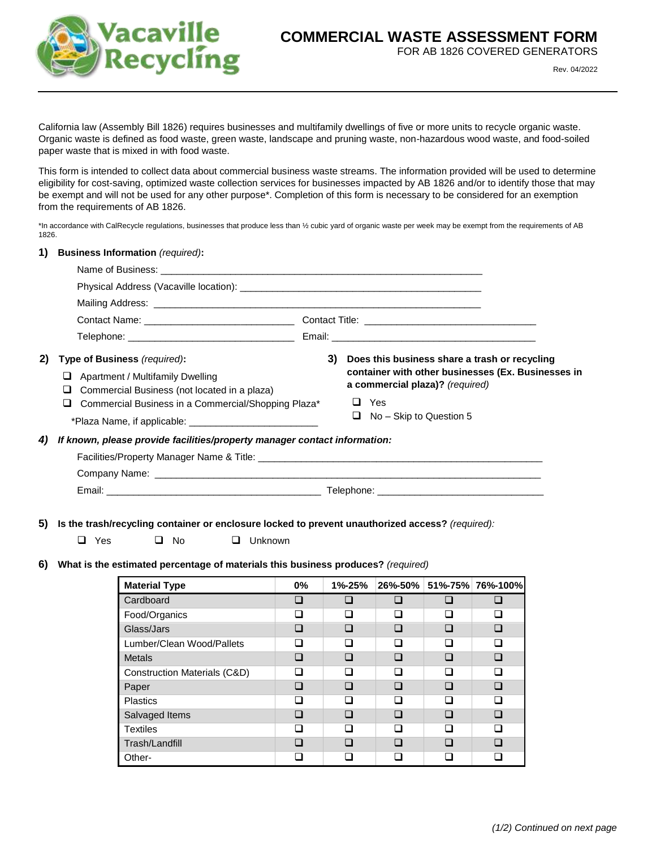

## **COMMERCIAL WASTE ASSESSMENT FORM**

FOR AB 1826 COVERED GENERATORS

Rev. 04/2022

California law (Assembly Bill 1826) requires businesses and multifamily dwellings of five or more units to recycle organic waste. Organic waste is defined as food waste, green waste, landscape and pruning waste, non-hazardous wood waste, and food-soiled paper waste that is mixed in with food waste.

This form is intended to collect data about commercial business waste streams. The information provided will be used to determine eligibility for cost-saving, optimized waste collection services for businesses impacted by AB 1826 and/or to identify those that may be exempt and will not be used for any other purpose\*. Completion of this form is necessary to be considered for an exemption from the requirements of AB 1826.

\*In accordance with CalRecycle regulations, businesses that produce less than ½ cubic yard of organic waste per week may be exempt from the requirements of AB 1826.

| 1) Business Information (required): |  |  |
|-------------------------------------|--|--|
|-------------------------------------|--|--|

| 2) | <b>Type of Business</b> (required):                                              | 3) | Does this business share a trash or recycling                                         |  |  |
|----|----------------------------------------------------------------------------------|----|---------------------------------------------------------------------------------------|--|--|
|    | Apartment / Multifamily Dwelling<br>Commercial Business (not located in a plaza) |    | container with other businesses (Ex. Businesses in<br>a commercial plaza)? (required) |  |  |
|    | Commercial Business in a Commercial/Shopping Plaza*                              |    | Yes<br>ப                                                                              |  |  |
|    |                                                                                  |    | $\Box$ No – Skip to Question 5                                                        |  |  |
| 4) | If known, please provide facilities/property manager contact information:        |    |                                                                                       |  |  |
|    |                                                                                  |    |                                                                                       |  |  |
|    |                                                                                  |    |                                                                                       |  |  |
|    |                                                                                  |    |                                                                                       |  |  |
|    |                                                                                  |    |                                                                                       |  |  |

## **5) Is the trash/recycling container or enclosure locked to prevent unauthorized access?** *(required):*

| $\Box$ Yes | $\Box$ No | $\Box$ Unknown |
|------------|-----------|----------------|
|            |           |                |

**6) What is the estimated percentage of materials this business produces?** *(required)*

| <b>Material Type</b>         | $0\%$                    | 1%-25%                   | 26%-50%      |                                        | 51%-75% 76%-100% |
|------------------------------|--------------------------|--------------------------|--------------|----------------------------------------|------------------|
| Cardboard                    |                          |                          |              |                                        |                  |
| Food/Organics                |                          |                          | H            |                                        |                  |
| Glass/Jars                   | □                        | П                        | n            | □                                      | n                |
| Lumber/Clean Wood/Pallets    |                          | П                        | ш            | □                                      | □                |
| <b>Metals</b>                | l 1                      | П                        | $\mathbf{I}$ | I.                                     | n                |
| Construction Materials (C&D) |                          |                          |              |                                        |                  |
| Paper                        | □                        | $\mathbf{r}$             | ⊓            | <b>In the contract of the contract</b> | n                |
| <b>Plastics</b>              |                          | $\overline{\phantom{a}}$ | ш            |                                        | <b>Tale</b>      |
| Salvaged Items               | $\overline{\phantom{a}}$ | П                        | $\Box$       | П                                      |                  |
| <b>Textiles</b>              | l 1                      | H                        | П            |                                        | □                |
| Trash/Landfill               |                          |                          |              |                                        |                  |
| Other-                       |                          |                          |              |                                        |                  |